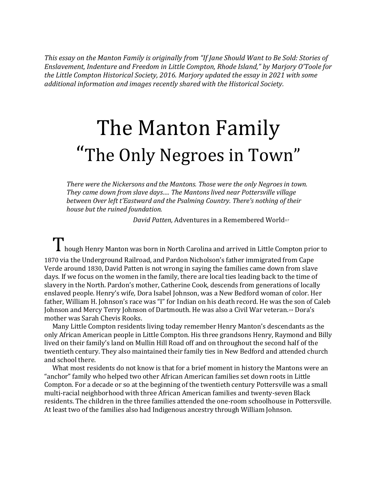*This essay on the Manton Family is originally from "If Jane Should Want to Be Sold: Stories of Enslavement, Indenture and Freedom in Little Compton, Rhode Island," by Marjory O'Toole for the Little Compton Historical Society, 2016. Marjory updated the essay in 2021 with some additional information and images recently shared with the Historical Society.*

## The Manton Family "The Only Negroes in Town"

*There were the Nickersons and the Mantons. Those were the only Negroes in town. They came down from slave days…. The Mantons lived near Pottersville village between Over left t'Eastward and the Psalming Country. There's nothing of their house but the ruined foundation.* 

*David Patten, Adventures in a Remembered World117* 

T hough Henry Manton was born in North Carolina and arrived in Little Compton prior to

1870 via the Underground Railroad, and Pardon Nicholson's father immigrated from Cape Verde around 1830, David Patten is not wrong in saying the families came down from slave days. If we focus on the women in the family, there are local ties leading back to the time of slavery in the North. Pardon's mother, Catherine Cook, descends from generations of locally enslaved people. Henry's wife, Dora Isabel Johnson, was a New Bedford woman of color. Her father, William H. Johnson's race was "I" for Indian on his death record. He was the son of Caleb Johnson and Mercy Terry Johnson of Dartmouth. He was also a Civil War veteran.118 Dora's mother was Sarah Chevis Rooks.

Many Little Compton residents living today remember Henry Manton's descendants as the only African American people in Little Compton. His three grandsons Henry, Raymond and Billy lived on their family's land on Mullin Hill Road off and on throughout the second half of the twentieth century. They also maintained their family ties in New Bedford and attended church and school there.

What most residents do not know is that for a brief moment in history the Mantons were an "anchor" family who helped two other African American families set down roots in Little Compton. For a decade or so at the beginning of the twentieth century Pottersville was a small multi-racial neighborhood with three African American families and twenty-seven Black residents. The children in the three families attended the one-room schoolhouse in Pottersville. At least two of the families also had Indigenous ancestry through William Johnson.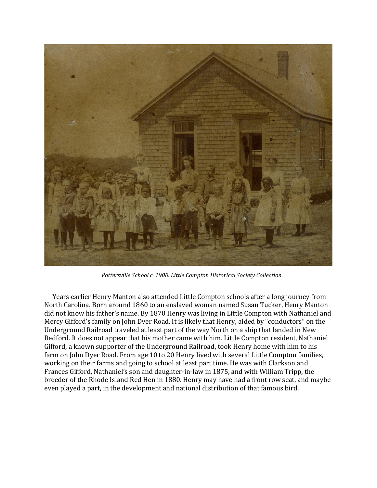

*Pottersville School c. 1900. Little Compton Historical Society Collection.*

Years earlier Henry Manton also attended Little Compton schools after a long journey from North Carolina. Born around 1860 to an enslaved woman named Susan Tucker, Henry Manton did not know his father's name. By 1870 Henry was living in Little Compton with Nathaniel and Mercy Gifford's family on John Dyer Road. It is likely that Henry, aided by "conductors" on the Underground Railroad traveled at least part of the way North on a ship that landed in New Bedford. It does not appear that his mother came with him. Little Compton resident, Nathaniel Gifford, a known supporter of the Underground Railroad, took Henry home with him to his farm on John Dyer Road. From age 10 to 20 Henry lived with several Little Compton families, working on their farms and going to school at least part time. He was with Clarkson and Frances Gifford, Nathaniel's son and daughter-in-law in 1875, and with William Tripp, the breeder of the Rhode Island Red Hen in 1880. Henry may have had a front row seat, and maybe even played a part, in the development and national distribution of that famous bird.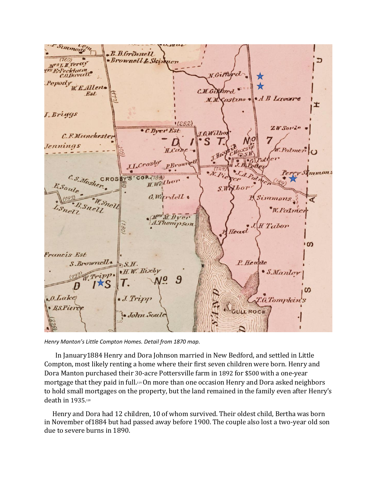

*Henry Manton's Little Compton Homes. Detail from 1870 map.*

In January1884 Henry and Dora Johnson married in New Bedford, and settled in Little Compton, most likely renting a home where their first seven children were born. Henry and Dora Manton purchased their 30-acre Pottersville farm in 1892 for \$500 with a one-year mortgage that they paid in full.<sup>119</sup> On more than one occasion Henry and Dora asked neighbors to hold small mortgages on the property, but the land remained in the family even after Henry's death in 1935.<sup>120</sup>

Henry and Dora had 12 children, 10 of whom survived. Their oldest child, Bertha was born in November of1884 but had passed away before 1900. The couple also lost a two-year old son due to severe burns in 1890.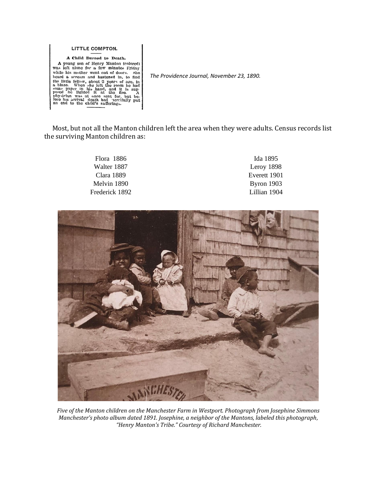LITTLE COMPTON. A Child Burned to Death. A young son of Henry Manton (colored) was left alone for a few minutes Friday was left alone for a few minutes Friday<br>while his molter went out of doors. She<br>head a scream and hastened in, to find<br>the little fellow, about 2 years of age, in<br>a blaze. When she left the room ho had<br>some paper in his ha

*The Providence Journal, November 23, 1890.*

Most, but not all the Manton children left the area when they were adults. Census records list the surviving Manton children as:

| Flora 1886     | Ida 1895     |
|----------------|--------------|
| Walter 1887    | Leroy 1898   |
| Clara 1889     | Everett 1901 |
| Melvin 1890    | Byron $1903$ |
| Frederick 1892 | Lillian 1904 |



*Five of the Manton children on the Manchester Farm in Westport. Photograph from Josephine Simmons Manchester's photo album dated 1891. Josephine, a neighbor of the Mantons, labeled this photograph, "Henry Manton's Tribe." Courtesy of Richard Manchester.*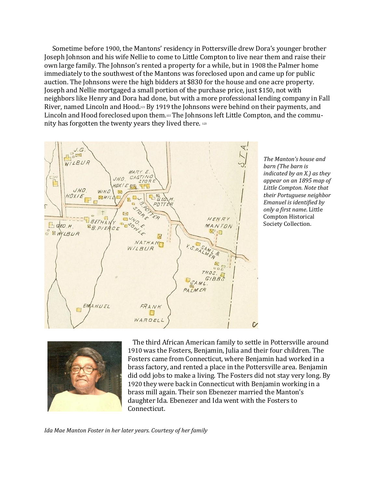Sometime before 1900, the Mantons' residency in Pottersville drew Dora's younger brother Joseph Johnson and his wife Nellie to come to Little Compton to live near them and raise their own large family. The Johnson's rented a property for a while, but in 1908 the Palmer home immediately to the southwest of the Mantons was foreclosed upon and came up for public auction. The Johnsons were the high bidders at \$830 for the house and one acre property. Joseph and Nellie mortgaged a small portion of the purchase price, just \$150, not with neighbors like Henry and Dora had done, but with a more professional lending company in Fall River, named Lincoln and Hood.<sup>121</sup> By 1919 the Johnsons were behind on their payments, and Lincoln and Hood foreclosed upon them.<sup>122</sup> The Johnsons left Little Compton, and the community has forgotten the twenty years they lived there. <sup>123</sup>



*The Manton's house and barn (The barn is indicated by an X.) as they appear on an 1895 map of Little Compton. Note that their Portuguese neighbor Emanuel is identified by only a first name*. Little Compton Historical Society Collection.



 The third African American family to settle in Pottersville around 1910 was the Fosters, Benjamin, Julia and their four children. The Fosters came from Connecticut, where Benjamin had worked in a brass factory, and rented a place in the Pottersville area. Benjamin did odd jobs to make a living. The Fosters did not stay very long. By 1920 they were back in Connecticut with Benjamin working in a brass mill again. Their son Ebenezer married the Manton's daughter Ida. Ebenezer and Ida went with the Fosters to Connecticut.

*Ida Mae Manton Foster in her later years. Courtesy of her family*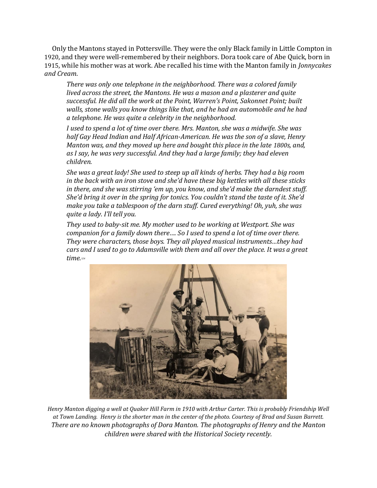Only the Mantons stayed in Pottersville. They were the only Black family in Little Compton in 1920, and they were well-remembered by their neighbors. Dora took care of Abe Quick, born in 1915, while his mother was at work. Abe recalled his time with the Manton family in *Jonnycakes and Cream*.

*There was only one telephone in the neighborhood. There was a colored family lived across the street, the Mantons. He was a mason and a plasterer and quite successful. He did all the work at the Point, Warren's Point, Sakonnet Point; built walls, stone walls you know things like that, and he had an automobile and he had a telephone. He was quite a celebrity in the neighborhood.* 

*I used to spend a lot of time over there. Mrs. Manton, she was a midwife. She was half Gay Head Indian and Half African-American. He was the son of a slave, Henry Manton was, and they moved up here and bought this place in the late 1800s, and, as I say, he was very successful. And they had a large family; they had eleven children.* 

*She was a great lady! She used to steep up all kinds of herbs. They had a big room in the back with an iron stove and she'd have these big kettles with all these sticks in there, and she was stirring 'em up, you know, and she'd make the darndest stuff. She'd bring it over in the spring for tonics. You couldn't stand the taste of it. She'd make you take a tablespoon of the darn stuff. Cured everything! Oh, yuh, she was quite a lady. I'll tell you.*

*They used to baby-sit me. My mother used to be working at Westport. She was companion for a family down there…. So I used to spend a lot of time over there. They were characters, those boys. They all played musical instruments…they had cars and I used to go to Adamsville with them and all over the place. It was a great time.<sup>124</sup>*



*Henry Manton digging a well at Quaker Hill Farm in 1910 with Arthur Carter. This is probably Friendship Well at Town Landing. Henry is the shorter man in the center of the photo. Courtesy of Brad and Susan Barrett. There are no known photographs of Dora Manton. The photographs of Henry and the Manton children were shared with the Historical Society recently.*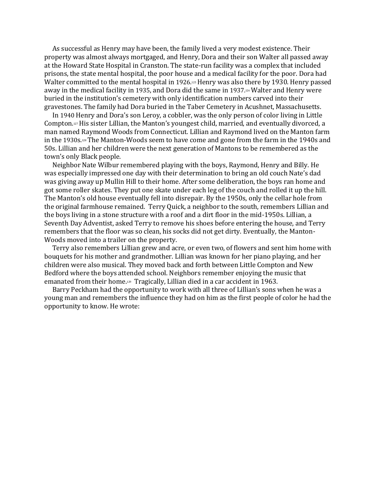As successful as Henry may have been, the family lived a very modest existence. Their property was almost always mortgaged, and Henry, Dora and their son Walter all passed away at the Howard State Hospital in Cranston. The state-run facility was a complex that included prisons, the state mental hospital, the poor house and a medical facility for the poor. Dora had Walter committed to the mental hospital in 1926.<sup>125</sup> Henry was also there by 1930. Henry passed away in the medical facility in 1935, and Dora did the same in 1937.<sup>126</sup> Walter and Henry were buried in the institution's cemetery with only identification numbers carved into their gravestones. The family had Dora buried in the Taber Cemetery in Acushnet, Massachusetts.

In 1940 Henry and Dora's son Leroy, a cobbler, was the only person of color living in Little Compton.127His sister Lillian, the Manton's youngest child, married, and eventually divorced, a man named Raymond Woods from Connecticut. Lillian and Raymond lived on the Manton farm in the 1930s.128The Manton-Woods seem to have come and gone from the farm in the 1940s and 50s. Lillian and her children were the next generation of Mantons to be remembered as the town's only Black people.

Neighbor Nate Wilbur remembered playing with the boys, Raymond, Henry and Billy. He was especially impressed one day with their determination to bring an old couch Nate's dad was giving away up Mullin Hill to their home. After some deliberation, the boys ran home and got some roller skates. They put one skate under each leg of the couch and rolled it up the hill. The Manton's old house eventually fell into disrepair. By the 1950s, only the cellar hole from the original farmhouse remained. Terry Quick, a neighbor to the south, remembers Lillian and the boys living in a stone structure with a roof and a dirt floor in the mid-1950s. Lillian, a Seventh Day Adventist, asked Terry to remove his shoes before entering the house, and Terry remembers that the floor was so clean, his socks did not get dirty. Eventually, the Manton-Woods moved into a trailer on the property.

Terry also remembers Lillian grew and acre, or even two, of flowers and sent him home with bouquets for his mother and grandmother. Lillian was known for her piano playing, and her children were also musical. They moved back and forth between Little Compton and New Bedford where the boys attended school. Neighbors remember enjoying the music that emanated from their home.129 Tragically, Lillian died in a car accident in 1963.

Barry Peckham had the opportunity to work with all three of Lillian's sons when he was a young man and remembers the influence they had on him as the first people of color he had the opportunity to know. He wrote: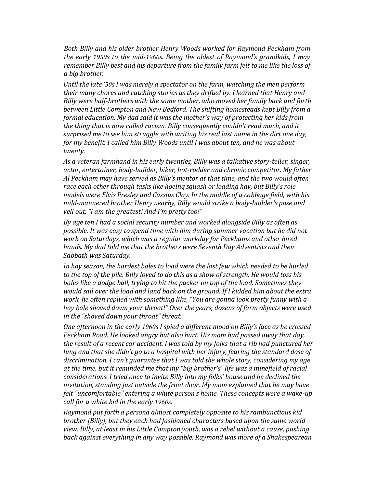*Both Billy and his older brother Henry Woods worked for Raymond Peckham from the early 1950s to the mid-1960s. Being the oldest of Raymond's grandkids, I may remember Billy best and his departure from the family farm felt to me like the loss of a big brother.* 

*Until the late '50s I was merely a spectator on the farm, watching the men perform their many chores and catching stories as they drifted by. I learned that Henry and Billy were half-brothers with the same mother, who moved her family back and forth between Little Compton and New Bedford. The shifting homesteads kept Billy from a formal education. My dad said it was the mother's way of protecting her kids from the thing that is now called racism. Billy consequently couldn't read much, and it surprised me to see him struggle with writing his real last name in the dirt one day, for my benefit. I called him Billy Woods until I was about ten, and he was about twenty.* 

*As a veteran farmhand in his early twenties, Billy was a talkative story-teller, singer, actor, entertainer, body-builder, biker, hot-rodder and chronic competitor. My father Al Peckham may have served as Billy's mentor at that time, and the two would often race each other through tasks like hoeing squash or loading hay, but Billy's role models were Elvis Presley and Cassius Clay. In the middle of a cabbage field, with his mild-mannered brother Henry nearby, Billy would strike a body-builder's pose and yell out, "I am the greatest! And I'm pretty too!"* 

*By age ten I had a social security number and worked alongside Billy as often as possible. It was easy to spend time with him during summer vacation but he did not work on Saturdays, which was a regular workday for Peckhams and other hired hands. My dad told me that the brothers were Seventh Day Adventists and their Sabbath was Saturday.*

*In hay season, the hardest bales to load were the last few which needed to be hurled to the top of the pile. Billy loved to do this as a show of strength. He would toss his bales like a dodge ball, trying to hit the packer on top of the load. Sometimes they would sail over the load and land back on the ground. If I kidded him about the extra work, he often replied with something like, "You are gonna look pretty funny with a hay bale shoved down your throat!" Over the years, dozens of farm objects were used in the "shoved down your throat" threat.* 

*One afternoon in the early 1960s I spied a different mood on Billy's face as he crossed Peckham Road. He looked angry but also hurt. His mom had passed away that day, the result of a recent car accident. I was told by my folks that a rib had punctured her lung and that she didn't go to a hospital with her injury, fearing the standard dose of discrimination. I can't guarantee that I was told the whole story, considering my age at the time, but it reminded me that my "big brother's" life was a minefield of racial considerations. I tried once to invite Billy into my folks' house and he declined the invitation, standing just outside the front door. My mom explained that he may have felt "uncomfortable" entering a white person's home. These concepts were a wake-up call for a white kid in the early 1960s.* 

*Raymond put forth a persona almost completely opposite to his rambunctious kid brother [Billy], but they each had fashioned characters based upon the same world view. Billy, at least in his Little Compton youth, was a rebel without a cause, pushing back against everything in any way possible. Raymond was more of a Shakespearean*